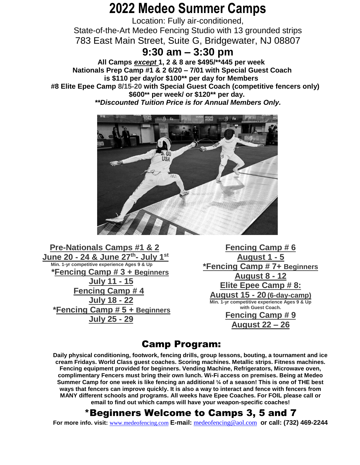## **2022 Medeo Summer Camps**

Location: Fully air-conditioned, State-of-the-Art Medeo Fencing Studio with 13 grounded strips 783 East Main Street, Suite G, Bridgewater, NJ 08807

#### **9:30 am – 3:30 pm**

**All Camps** *except* **1, 2 & 8 are \$495/\*\*445 per week Nationals Prep Camp #1 & 2 6/20 – 7/01 with Special Guest Coach is \$110 per day/or \$100\*\* per day for Members #8 Elite Epee Camp 8/15-20 with Special Guest Coach (competitive fencers only) \$600\*\* per week/ or \$120\*\* per day.**  *\*\*Discounted Tuition Price is for Annual Members Only.*



**Pre-Nationals Camps #1 & 2 June 20 - 24 & June 27th - July 1 st Min. 1-yr competitive experience Ages 9 & Up \*Fencing Camp # 3 + Beginners July 11 - 15 Fencing Camp # 4 July 18 - 22 \*Fencing Camp # 5 + Beginners July 25 - 29**

**Fencing Camp # 6 August 1 - 5 \*Fencing Camp # 7+ Beginners August 8 - 12 Elite Epee Camp # 8: August 15 - 20 (6-day-camp) Min. 1-yr competitive experience Ages 9 & Up with Guest Coach. Fencing Camp # 9 August 22 – 26**

#### Camp Program:

**Daily physical conditioning, footwork, fencing drills, group lessons, bouting, a tournament and ice cream Fridays. World Class guest coaches. Scoring machines. Metallic strips. Fitness machines. Fencing equipment provided for beginners. Vending Machine, Refrigerators, Microwave oven, complimentary Fencers must bring their own lunch. Wi-Fi access on premises. Being at Medeo Summer Camp for one week is like fencing an additional ¼ of a season! This is one of THE best ways that fencers can improve quickly. It is also a way to interact and fence with fencers from MANY different schools and programs. All weeks have Epee Coaches. For FOIL please call or email to find out which camps will have your weapon-specific coaches!**

### \*Beginners Welcome to Camps 3, 5 and 7

**For more info. visit:** [www.medeofencing.com](http://www.medeofencing.com/) **E-mail:** [medeofencing@aol.com](mailto:Yadan@aol.com) **or call: (732) 469-2244**